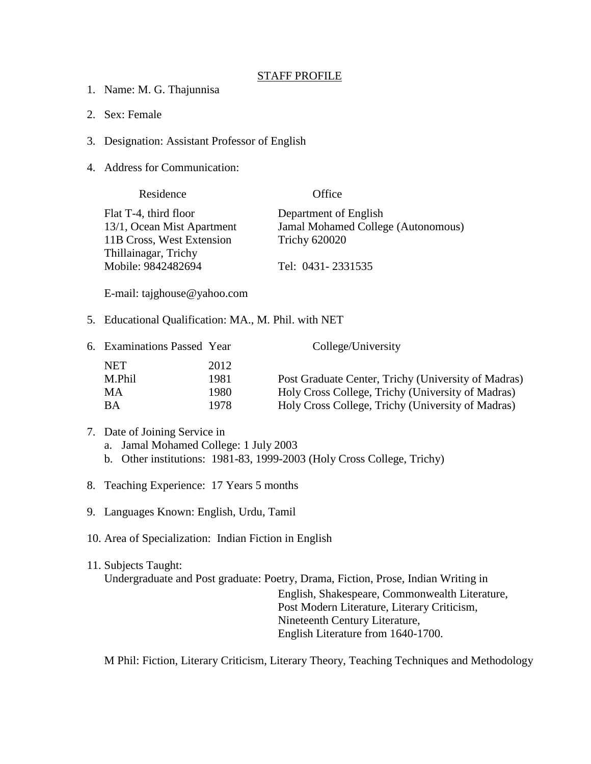## STAFF PROFILE

- 1. Name: M. G. Thajunnisa
- 2. Sex: Female
- 3. Designation: Assistant Professor of English
- 4. Address for Communication:

| Residence                  | Office                             |
|----------------------------|------------------------------------|
| Flat T-4, third floor      | Department of English              |
| 13/1, Ocean Mist Apartment | Jamal Mohamed College (Autonomous) |
| 11B Cross, West Extension  | <b>Trichy 620020</b>               |
| Thillainagar, Trichy       |                                    |
| Mobile: 9842482694         | Tel: 0431-2331535                  |
|                            |                                    |

E-mail: tajghouse@yahoo.com

5. Educational Qualification: MA., M. Phil. with NET

| 6. Examinations Passed Year |       | College/University                                  |
|-----------------------------|-------|-----------------------------------------------------|
| NET                         | 2012  |                                                     |
| M.Phil                      | 1981  | Post Graduate Center, Trichy (University of Madras) |
| MА                          | 1980. | Holy Cross College, Trichy (University of Madras)   |
| <b>BA</b>                   | 1978  | Holy Cross College, Trichy (University of Madras)   |

- 7. Date of Joining Service in
	- a. Jamal Mohamed College: 1 July 2003
	- b. Other institutions: 1981-83, 1999-2003 (Holy Cross College, Trichy)
- 8. Teaching Experience: 17 Years 5 months
- 9. Languages Known: English, Urdu, Tamil
- 10. Area of Specialization: Indian Fiction in English

## 11. Subjects Taught: Undergraduate and Post graduate: Poetry, Drama, Fiction, Prose, Indian Writing in English, Shakespeare, Commonwealth Literature, Post Modern Literature, Literary Criticism, Nineteenth Century Literature, English Literature from 1640-1700.

M Phil: Fiction, Literary Criticism, Literary Theory, Teaching Techniques and Methodology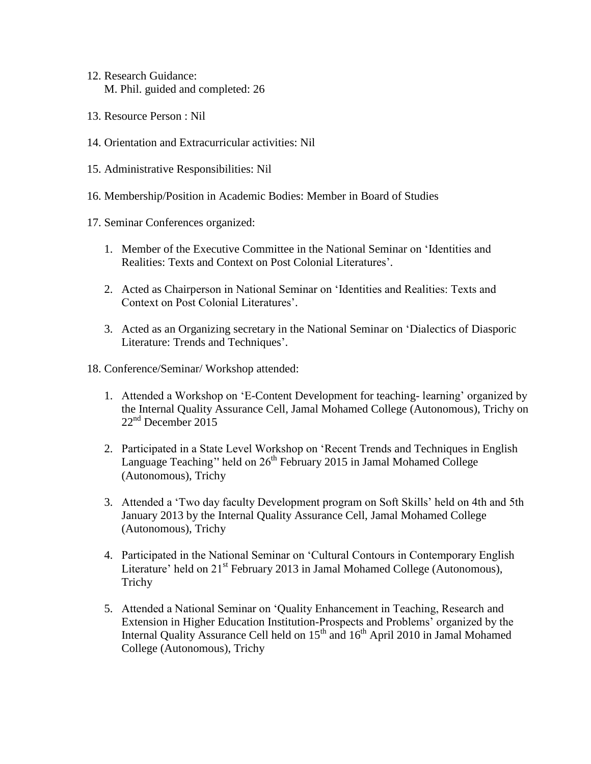- 12. Research Guidance: M. Phil. guided and completed: 26
- 13. Resource Person : Nil
- 14. Orientation and Extracurricular activities: Nil
- 15. Administrative Responsibilities: Nil
- 16. Membership/Position in Academic Bodies: Member in Board of Studies
- 17. Seminar Conferences organized:
	- 1. Member of the Executive Committee in the National Seminar on 'Identities and Realities: Texts and Context on Post Colonial Literatures'.
	- 2. Acted as Chairperson in National Seminar on 'Identities and Realities: Texts and Context on Post Colonial Literatures'.
	- 3. Acted as an Organizing secretary in the National Seminar on 'Dialectics of Diasporic Literature: Trends and Techniques'.
- 18. Conference/Seminar/ Workshop attended:
	- 1. Attended a Workshop on 'E-Content Development for teaching- learning' organized by the Internal Quality Assurance Cell, Jamal Mohamed College (Autonomous), Trichy on  $22<sup>nd</sup>$  December 2015
	- 2. Participated in a State Level Workshop on 'Recent Trends and Techniques in English Language Teaching'' held on 26<sup>th</sup> February 2015 in Jamal Mohamed College (Autonomous), Trichy
	- 3. Attended a 'Two day faculty Development program on Soft Skills' held on 4th and 5th January 2013 by the Internal Quality Assurance Cell, Jamal Mohamed College (Autonomous), Trichy
	- 4. Participated in the National Seminar on 'Cultural Contours in Contemporary English Literature' held on  $21^{st}$  February 2013 in Jamal Mohamed College (Autonomous), Trichy
	- 5. Attended a National Seminar on 'Quality Enhancement in Teaching, Research and Extension in Higher Education Institution-Prospects and Problems' organized by the Internal Quality Assurance Cell held on  $15<sup>th</sup>$  and  $16<sup>th</sup>$  April 2010 in Jamal Mohamed College (Autonomous), Trichy